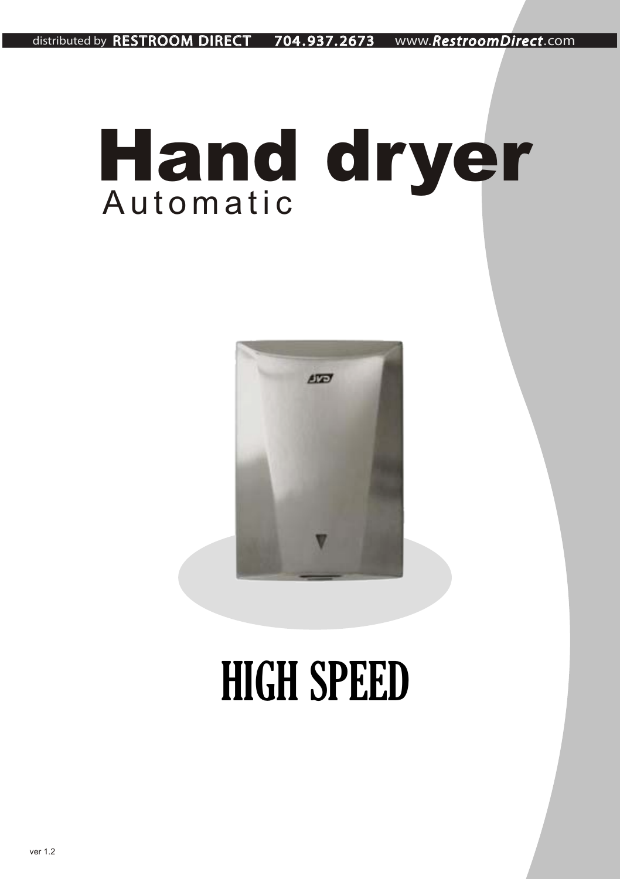distributed by RESTROOM DIRECT 704 . 937. 2673 www.*RestroomDirect*.com

# A u t o m a t i c *Hand dryer*



# HIGH SPEED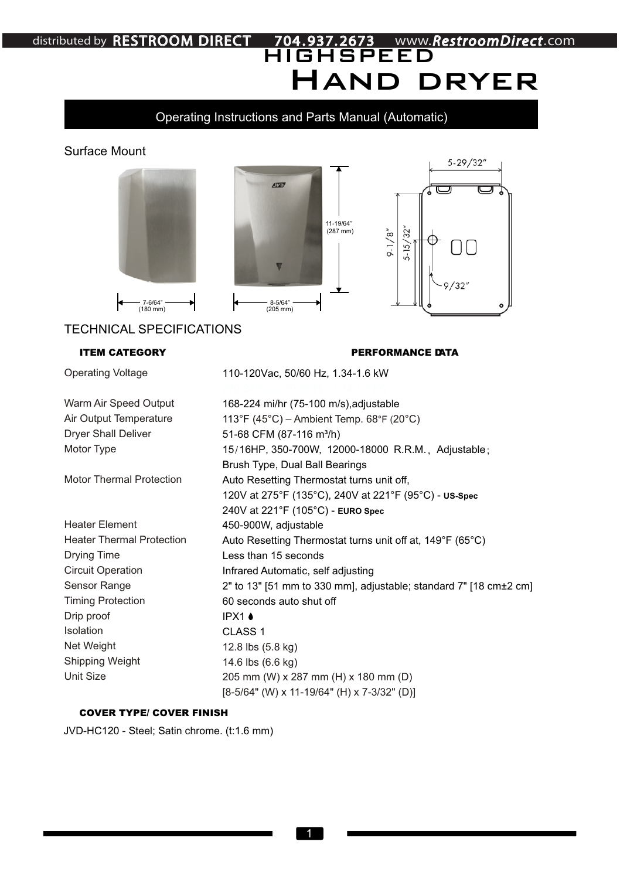# Hand dryer HIGHSPEED distributed by RESTROOM DIRECT 704 . 937. 2673 www.*RestroomDirect*.com

#### Operating Instructions and Parts Manual (Automatic)

#### Surface Mount



110-120Vac, 50/60 Hz, 1.34-1.6 kW

168-224 mi/hr (75-100 m/s), adjustable

Operating Voltage

Warm Air Speed Output Air Output Temperature Dryer Shall Deliver Motor Type

Motor Thermal Protection

Heater Element Heater Thermal Protection Drying Time Circuit Operation Sensor Range Timing Protection Drip proof Isolation Net Weight Shipping Weight Unit Size

113°F (45°C) – Ambient Temp. 68°F (20°C) 51-68 CFM (87-116 m<sup>3</sup>/h) 15 16HP, 350-700W, 12000-18000 R.R.M., Adjustable; / Brush Type, Dual Ball Bearings Auto Resetting Thermostat turns unit off, 120V at 275°F (135°C), 240V at 221°F (95°C) - **US-Spec** 240V at 221°F (105°C) - **EURO Spec** 450-900W, adjustable Auto Resetting Thermostat turns unit off at, 149°F (65°C) Less than 15 seconds Infrared Automatic, self adjusting 2" to 13" [51 mm to 330 mm], adjustable; standard 7" [18 cm±2 cm] 60 seconds auto shut off IPX1 A CLASS 1 12.8 lbs (5.8 kg) 14.6 lbs (6.6 kg) 205 mm (W) x 287 mm (H) x 180 mm (D) [8-5/64" (W) x 11-19/64" (H) x 7-3/32" (D)]

#### *COVER TYPE/ COVER FINISH*

JVD-HC120 - Steel; Satin chrome. (t:1.6 mm)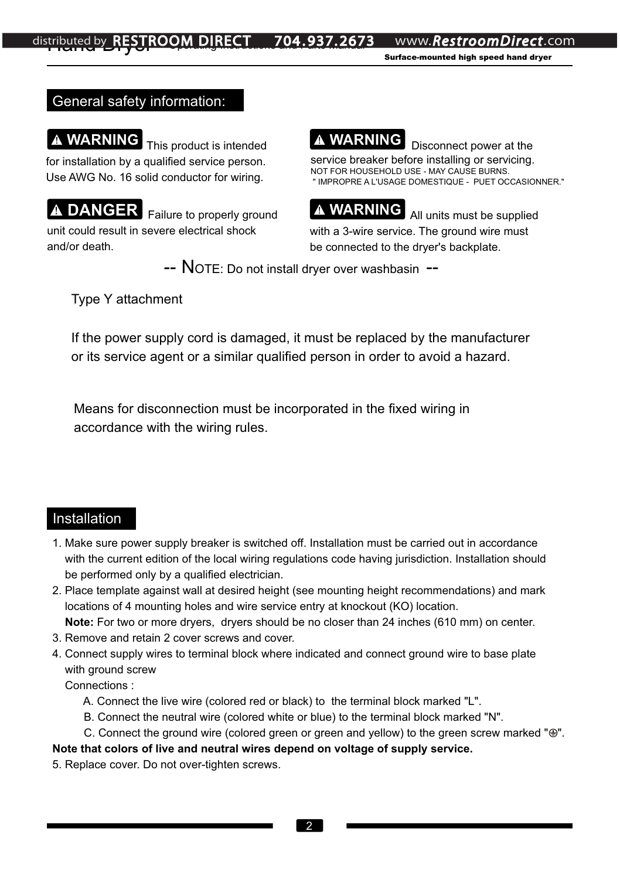www.**RestroomDirect**.com

*Surface-mounted high speed hand dryer* 

#### General safety information:

**A WARNING** This product is intended for installation by a qualified service person. Use AWG No. 16 solid conductor for wiring.

DANGER Failure to properly ground unit could result in severe electrical shock and/or death.



service breaker before installing or servicing. NOT FOR HOUSEHOLD USE - MAY CAUSE BURNS. " IMPROPRE A L'USAGE DOMESTIQUE - PUET OCCASIONNER."



**WARNING** All units must be supplied with a 3-wire service. The ground wire must be connected to the dryer's backplate.

-- NOTE: Do not install dryer over washbasin --

Type Y attachment

If the power supply cord is damaged, it must be replaced by the manufacturer or its service agent or a similar qualified person in order to avoid a hazard.

Means for disconnection must be incorporated in the fixed wiring in accordance with the wiring rules.

#### Installation

- 1. Make sure power supply breaker is switched off. Installation must be carried out in accordance with the current edition of the local wiring regulations code having jurisdiction. Installation should be performed only by a qualified electrician.
- 2. Place template against wall at desired height (see mounting height recommendations) and mark locations of 4 mounting holes and wire service entry at knockout (KO) location.

**Note:** For two or more dryers, dryers should be no closer than 24 inches (610 mm) on center.

- 3. Remove and retain 2 cover screws and cover.
- 4. Connect supply wires to terminal block where indicated and connect ground wire to base plate with ground screw

Connections :

- A. Connect the live wire (colored red or black) to the terminal block marked "L".
- B. Connect the neutral wire (colored white or blue) to the terminal block marked "N".
- C. Connect the ground wire (colored green or green and yellow) to the green screw marked " $\oplus$ ".

#### **Note that colors of live and neutral wires depend on voltage of supply service.**

5. Replace cover. Do not over-tighten screws.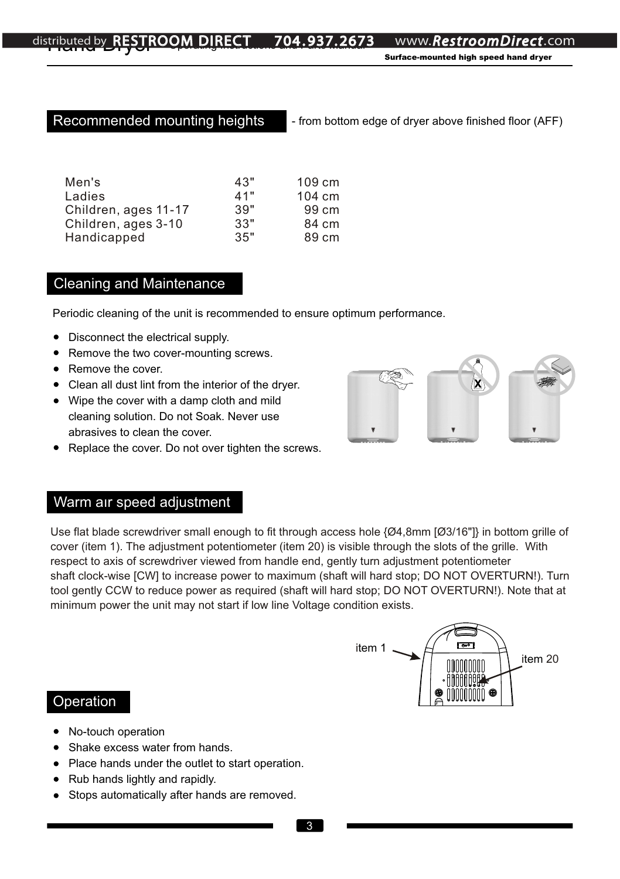Recommended mounting heights - from bottom edge of dryer above finished floor (AFF)

| Men's                | 43" | 109 cm |
|----------------------|-----|--------|
| Ladies               | 41" | 104 cm |
| Children, ages 11-17 | 39" | 99 cm  |
| Children, ages 3-10  | 33" | 84 cm  |
| Handicapped          | 35" | 89 cm  |

#### Cleaning and Maintenance

Periodic cleaning of the unit is recommended to ensure optimum performance.

- Disconnect the electrical supply.
- Remove the two cover-mounting screws.
- Remove the cover.
- Clean all dust lint from the interior of the dryer.
- Wipe the cover with a damp cloth and mild cleaning solution. Do not Soak. Never use abrasives to clean the cover.
- Replace the cover. Do not over tighten the screws.



### Warm aır speed adjustment

Use flat blade screwdriver small enough to fit through access hole {Ø4,8mm [Ø3/16"]} in bottom grille of cover (item 1). The adjustment potentiometer (item 20) is visible through the slots of the grille. With respect to axis of screwdriver viewed from handle end, gently turn adjustment potentiometer shaft clock-wise [CW] to increase power to maximum (shaft will hard stop; DO NOT OVERTURN!). Turn tool gently CCW to reduce power as required (shaft will hard stop; DO NOT OVERTURN!). Note that at minimum power the unit may not start if low line Voltage condition exists.



#### Operation

- No-touch operation
- Shake excess water from hands.
- Place hands under the outlet to start operation.
- Rub hands lightly and rapidly.
- Stops automatically after hands are removed.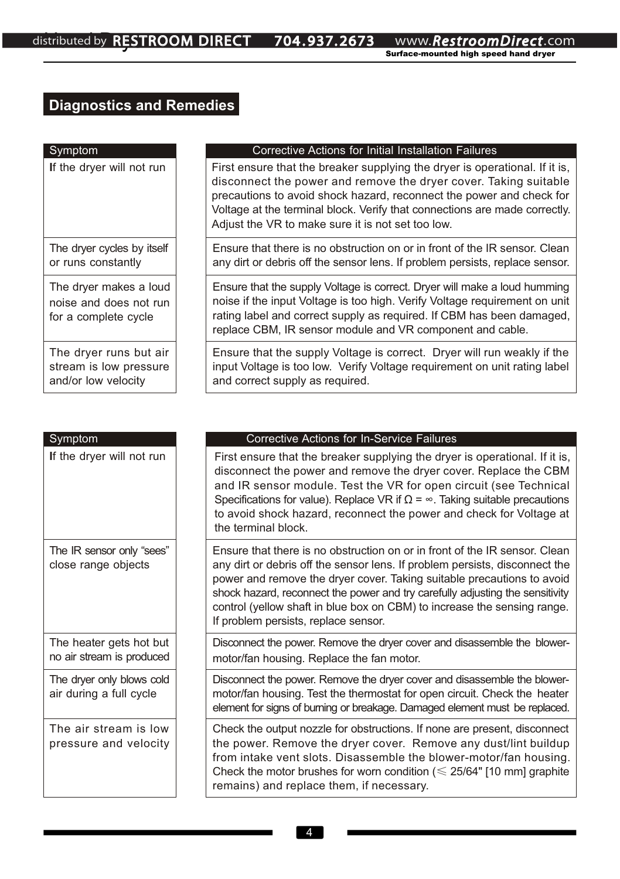## **Diagnostics and Remedies**

| Symptom                                                                  | <b>Corrective Actions for Initial Installation Failures</b>                                                                                                                                                                                                                                                                                                |
|--------------------------------------------------------------------------|------------------------------------------------------------------------------------------------------------------------------------------------------------------------------------------------------------------------------------------------------------------------------------------------------------------------------------------------------------|
| If the dryer will not run                                                | First ensure that the breaker supplying the dryer is operational. If it is,<br>disconnect the power and remove the dryer cover. Taking suitable<br>precautions to avoid shock hazard, reconnect the power and check for<br>Voltage at the terminal block. Verify that connections are made correctly.<br>Adjust the VR to make sure it is not set too low. |
| The dryer cycles by itself<br>or runs constantly                         | Ensure that there is no obstruction on or in front of the IR sensor. Clean<br>any dirt or debris off the sensor lens. If problem persists, replace sensor.                                                                                                                                                                                                 |
| The dryer makes a loud<br>noise and does not run<br>for a complete cycle | Ensure that the supply Voltage is correct. Dryer will make a loud humming<br>noise if the input Voltage is too high. Verify Voltage requirement on unit<br>rating label and correct supply as required. If CBM has been damaged,<br>replace CBM, IR sensor module and VR component and cable.                                                              |
| The dryer runs but air<br>stream is low pressure<br>and/or low velocity  | Ensure that the supply Voltage is correct. Dryer will run weakly if the<br>input Voltage is too low. Verify Voltage requirement on unit rating label<br>and correct supply as required.                                                                                                                                                                    |

| Symptom                                              | <b>Corrective Actions for In-Service Failures</b>                                                                                                                                                                                                                                                                                                                                                                                        |
|------------------------------------------------------|------------------------------------------------------------------------------------------------------------------------------------------------------------------------------------------------------------------------------------------------------------------------------------------------------------------------------------------------------------------------------------------------------------------------------------------|
| If the dryer will not run                            | First ensure that the breaker supplying the dryer is operational. If it is,<br>disconnect the power and remove the dryer cover. Replace the CBM<br>and IR sensor module. Test the VR for open circuit (see Technical<br>Specifications for value). Replace VR if $\Omega = \infty$ . Taking suitable precautions<br>to avoid shock hazard, reconnect the power and check for Voltage at<br>the terminal block.                           |
| The IR sensor only "sees"<br>close range objects     | Ensure that there is no obstruction on or in front of the IR sensor. Clean<br>any dirt or debris off the sensor lens. If problem persists, disconnect the<br>power and remove the dryer cover. Taking suitable precautions to avoid<br>shock hazard, reconnect the power and try carefully adjusting the sensitivity<br>control (yellow shaft in blue box on CBM) to increase the sensing range.<br>If problem persists, replace sensor. |
| The heater gets hot but<br>no air stream is produced | Disconnect the power. Remove the dryer cover and disassemble the blower-<br>motor/fan housing. Replace the fan motor.                                                                                                                                                                                                                                                                                                                    |
| The dryer only blows cold<br>air during a full cycle | Disconnect the power. Remove the dryer cover and disassemble the blower-<br>motor/fan housing. Test the thermostat for open circuit. Check the heater<br>element for signs of burning or breakage. Damaged element must be replaced.                                                                                                                                                                                                     |
| The air stream is low<br>pressure and velocity       | Check the output nozzle for obstructions. If none are present, disconnect<br>the power. Remove the dryer cover. Remove any dust/lint buildup<br>from intake vent slots. Disassemble the blower-motor/fan housing.<br>Check the motor brushes for worn condition ( $\leq 25/64$ " [10 mm] graphite<br>remains) and replace them, if necessary.                                                                                            |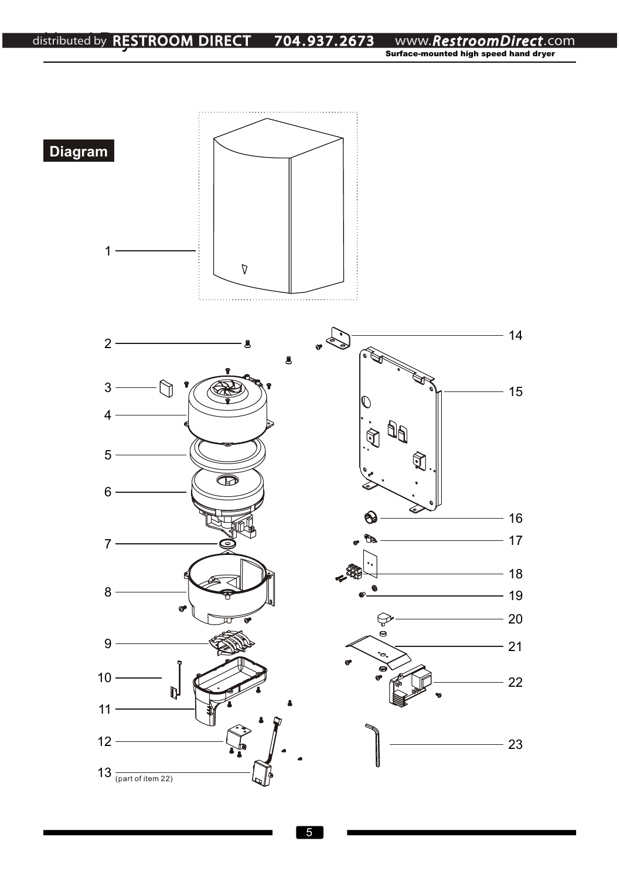